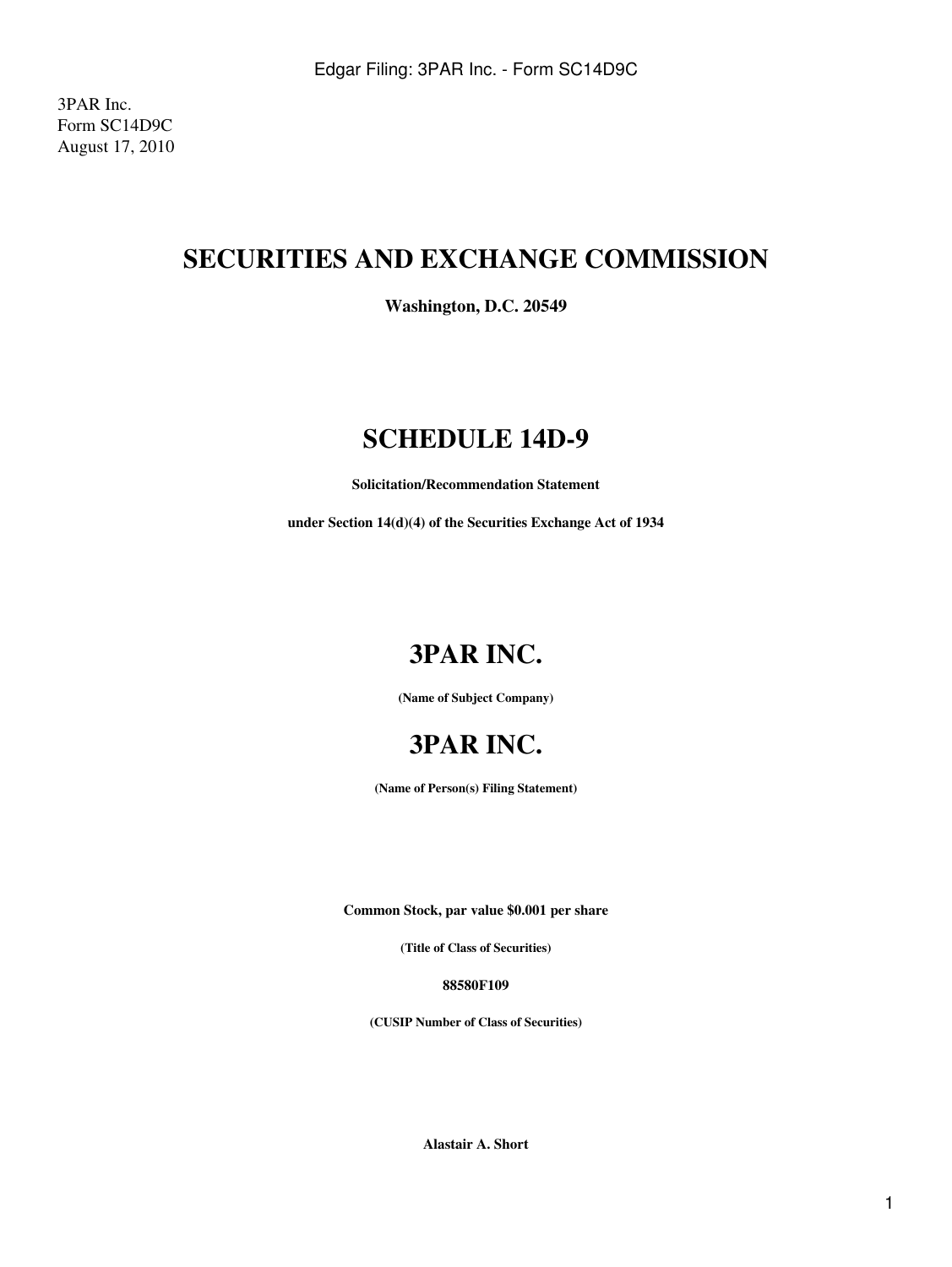3PAR Inc. Form SC14D9C August 17, 2010

## **SECURITIES AND EXCHANGE COMMISSION**

**Washington, D.C. 20549**

### **SCHEDULE 14D-9**

**Solicitation/Recommendation Statement**

**under Section 14(d)(4) of the Securities Exchange Act of 1934**

# **3PAR INC.**

**(Name of Subject Company)**



**(Name of Person(s) Filing Statement)**

**Common Stock, par value \$0.001 per share**

**(Title of Class of Securities)**

**88580F109**

**(CUSIP Number of Class of Securities)**

**Alastair A. Short**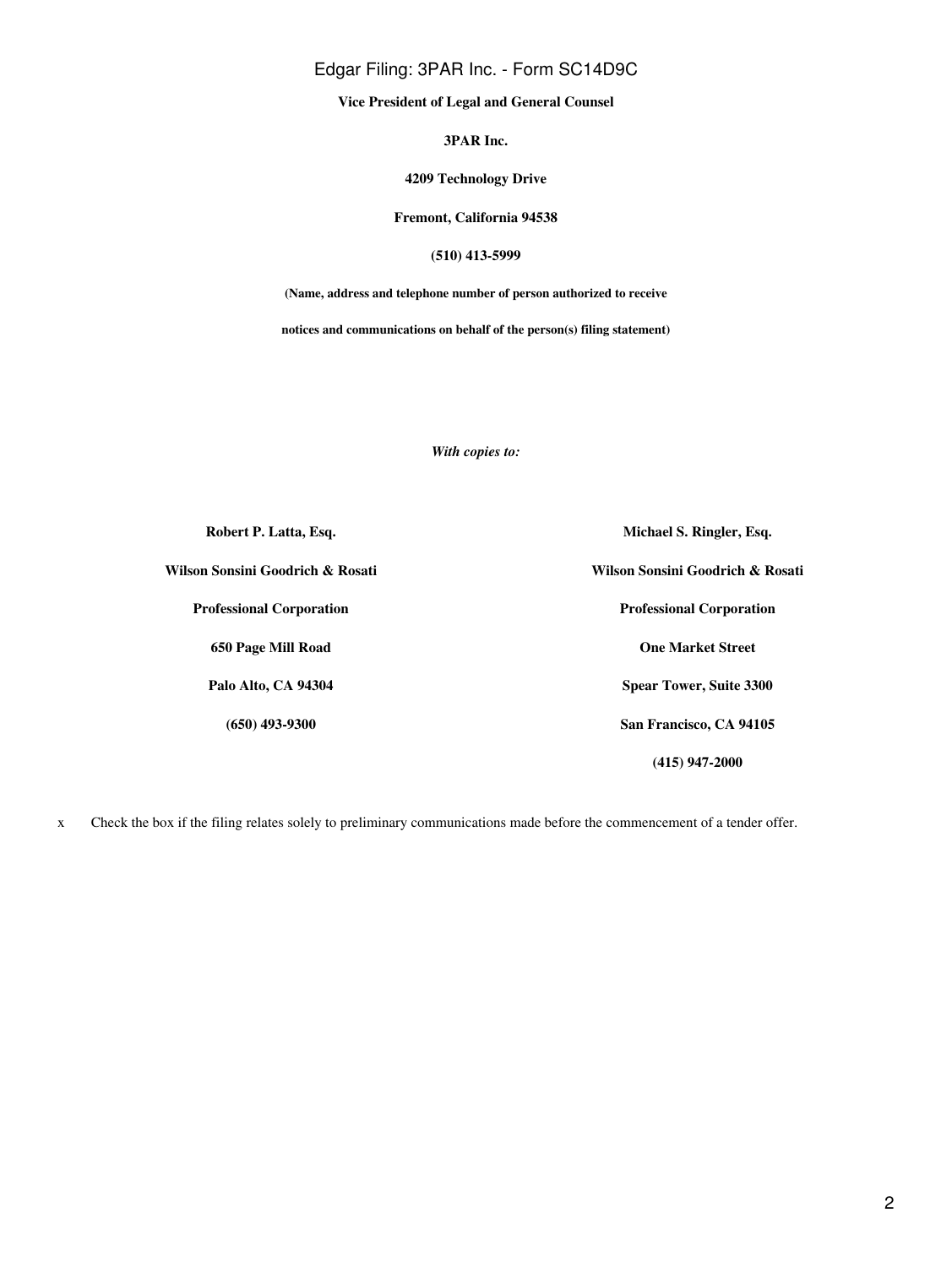### Edgar Filing: 3PAR Inc. - Form SC14D9C

**Vice President of Legal and General Counsel**

**3PAR Inc.**

#### **4209 Technology Drive**

**Fremont, California 94538**

#### **(510) 413-5999**

**(Name, address and telephone number of person authorized to receive**

**notices and communications on behalf of the person(s) filing statement)**

*With copies to:*

| Robert P. Latta, Esq.            | Michael S. Ringler, Esq.         |
|----------------------------------|----------------------------------|
| Wilson Sonsini Goodrich & Rosati | Wilson Sonsini Goodrich & Rosati |
| <b>Professional Corporation</b>  | <b>Professional Corporation</b>  |
| 650 Page Mill Road               | <b>One Market Street</b>         |
| Palo Alto, CA 94304              | <b>Spear Tower, Suite 3300</b>   |
| $(650)$ 493-9300                 | San Francisco, CA 94105          |
|                                  | (415) 947-2000                   |

x Check the box if the filing relates solely to preliminary communications made before the commencement of a tender offer.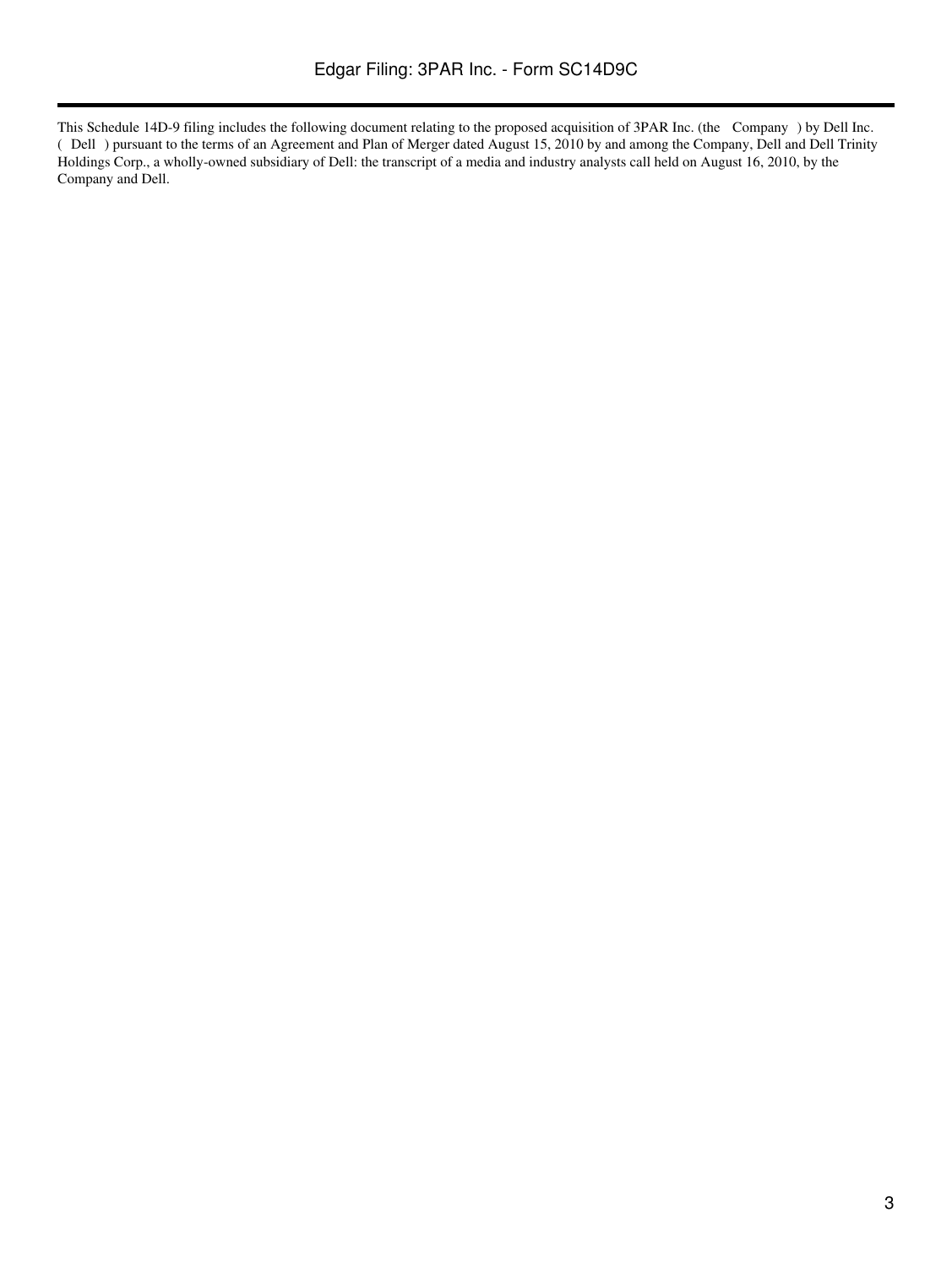This Schedule 14D-9 filing includes the following document relating to the proposed acquisition of 3PAR Inc. (the Company) by Dell Inc. (Dell) pursuant to the terms of an Agreement and Plan of Merger dated August 15, 2010 by and among the Company, Dell and Dell Trinity Holdings Corp., a wholly-owned subsidiary of Dell: the transcript of a media and industry analysts call held on August 16, 2010, by the Company and Dell.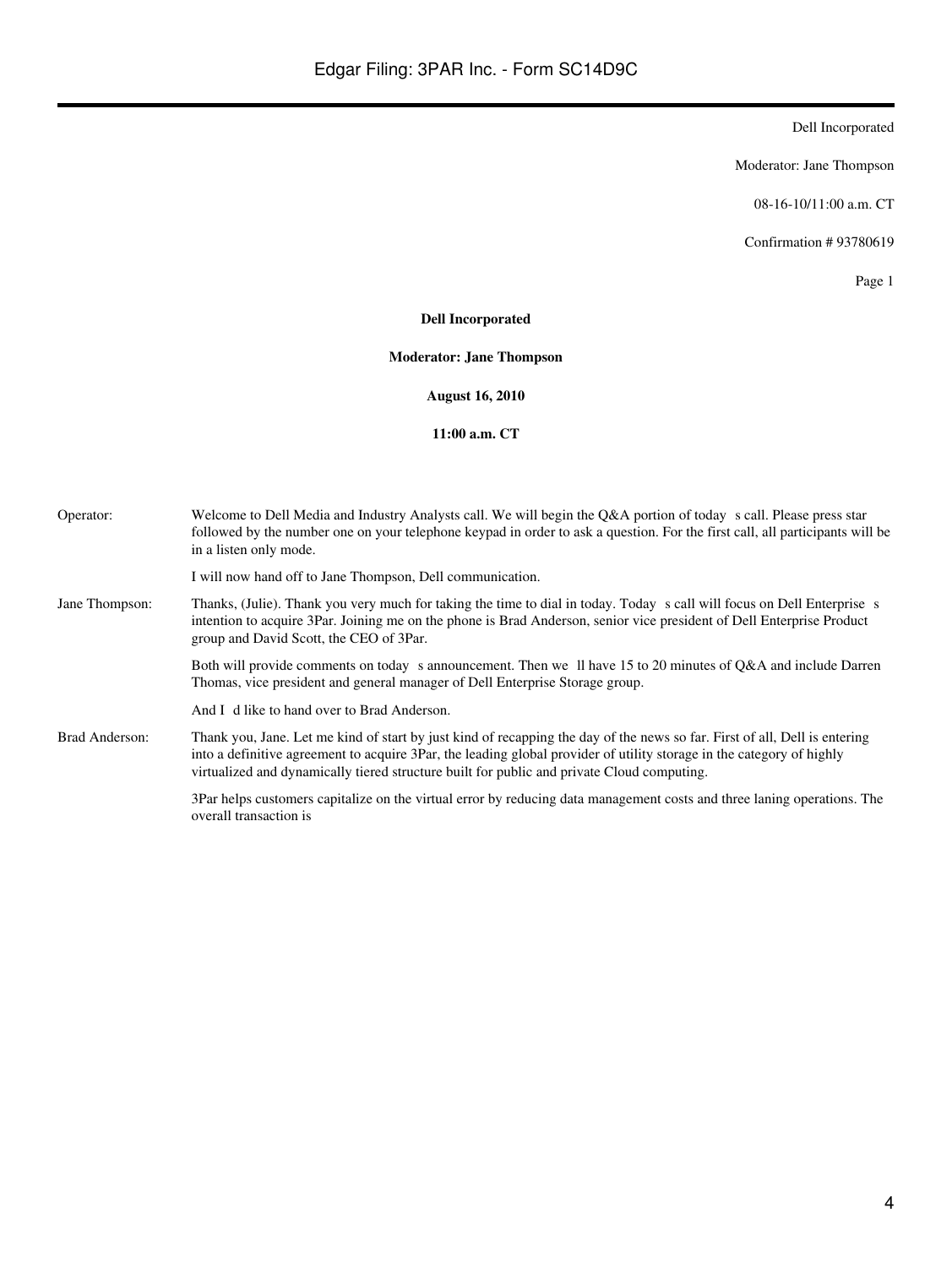Moderator: Jane Thompson

08-16-10/11:00 a.m. CT

Confirmation # 93780619

Page 1

#### **Dell Incorporated**

**Moderator: Jane Thompson**

**August 16, 2010**

**11:00 a.m. CT**

| Operator:      | Welcome to Dell Media and Industry Analysts call. We will begin the Q&A portion of today s call. Please press star<br>followed by the number one on your telephone keypad in order to ask a question. For the first call, all participants will be<br>in a listen only mode.                                                                      |
|----------------|---------------------------------------------------------------------------------------------------------------------------------------------------------------------------------------------------------------------------------------------------------------------------------------------------------------------------------------------------|
|                | I will now hand off to Jane Thompson, Dell communication.                                                                                                                                                                                                                                                                                         |
| Jane Thompson: | Thanks, (Julie). Thank you very much for taking the time to dial in today. Today s call will focus on Dell Enterprise s<br>intention to acquire 3Par. Joining me on the phone is Brad Anderson, senior vice president of Dell Enterprise Product<br>group and David Scott, the CEO of 3Par.                                                       |
|                | Both will provide comments on today s announcement. Then we ll have 15 to 20 minutes of Q&A and include Darren<br>Thomas, vice president and general manager of Dell Enterprise Storage group.                                                                                                                                                    |
|                | And I d like to hand over to Brad Anderson.                                                                                                                                                                                                                                                                                                       |
| Brad Anderson: | Thank you, Jane. Let me kind of start by just kind of recapping the day of the news so far. First of all, Dell is entering<br>into a definitive agreement to acquire 3Par, the leading global provider of utility storage in the category of highly<br>virtualized and dynamically tiered structure built for public and private Cloud computing. |
|                | 3Par helps customers capitalize on the virtual error by reducing data management costs and three laning operations. The<br>overall transaction is                                                                                                                                                                                                 |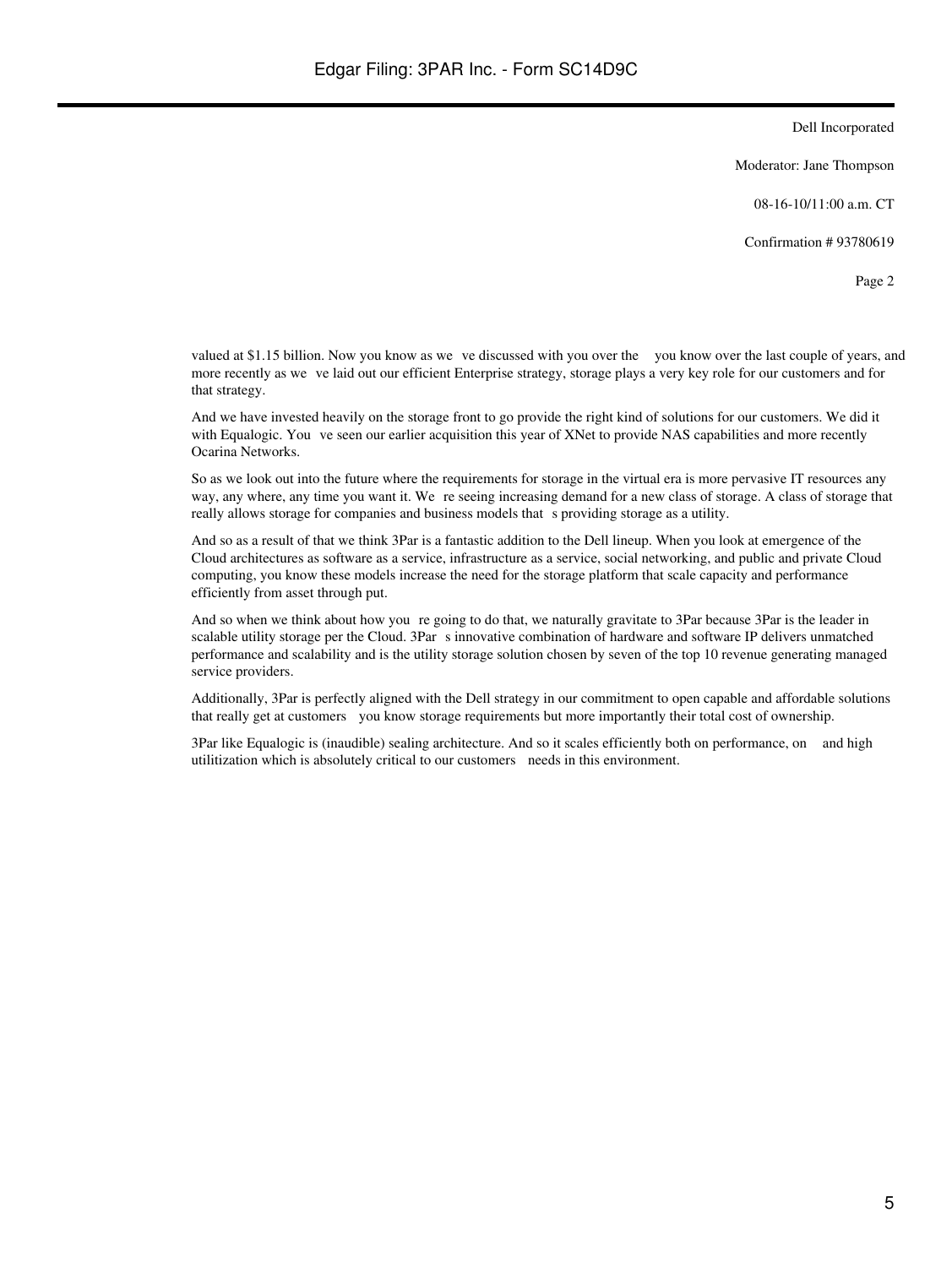Moderator: Jane Thompson

08-16-10/11:00 a.m. CT

Confirmation # 93780619

Page 2

valued at \$1.15 billion. Now you know as we ve discussed with you over the you know over the last couple of years, and more recently as we ve laid out our efficient Enterprise strategy, storage plays a very key role for our customers and for that strategy.

And we have invested heavily on the storage front to go provide the right kind of solutions for our customers. We did it with Equalogic. You ve seen our earlier acquisition this year of XNet to provide NAS capabilities and more recently Ocarina Networks.

So as we look out into the future where the requirements for storage in the virtual era is more pervasive IT resources any way, any where, any time you want it. We re seeing increasing demand for a new class of storage. A class of storage that really allows storage for companies and business models that sproviding storage as a utility.

And so as a result of that we think 3Par is a fantastic addition to the Dell lineup. When you look at emergence of the Cloud architectures as software as a service, infrastructure as a service, social networking, and public and private Cloud computing, you know these models increase the need for the storage platform that scale capacity and performance efficiently from asset through put.

And so when we think about how you re going to do that, we naturally gravitate to 3Par because 3Par is the leader in scalable utility storage per the Cloud. 3Par s innovative combination of hardware and software IP delivers unmatched performance and scalability and is the utility storage solution chosen by seven of the top 10 revenue generating managed service providers.

Additionally, 3Par is perfectly aligned with the Dell strategy in our commitment to open capable and affordable solutions that really get at customers you know storage requirements but more importantly their total cost of ownership.

3Par like Equalogic is (inaudible) sealing architecture. And so it scales efficiently both on performance, on and high utilitization which is absolutely critical to our customers needs in this environment.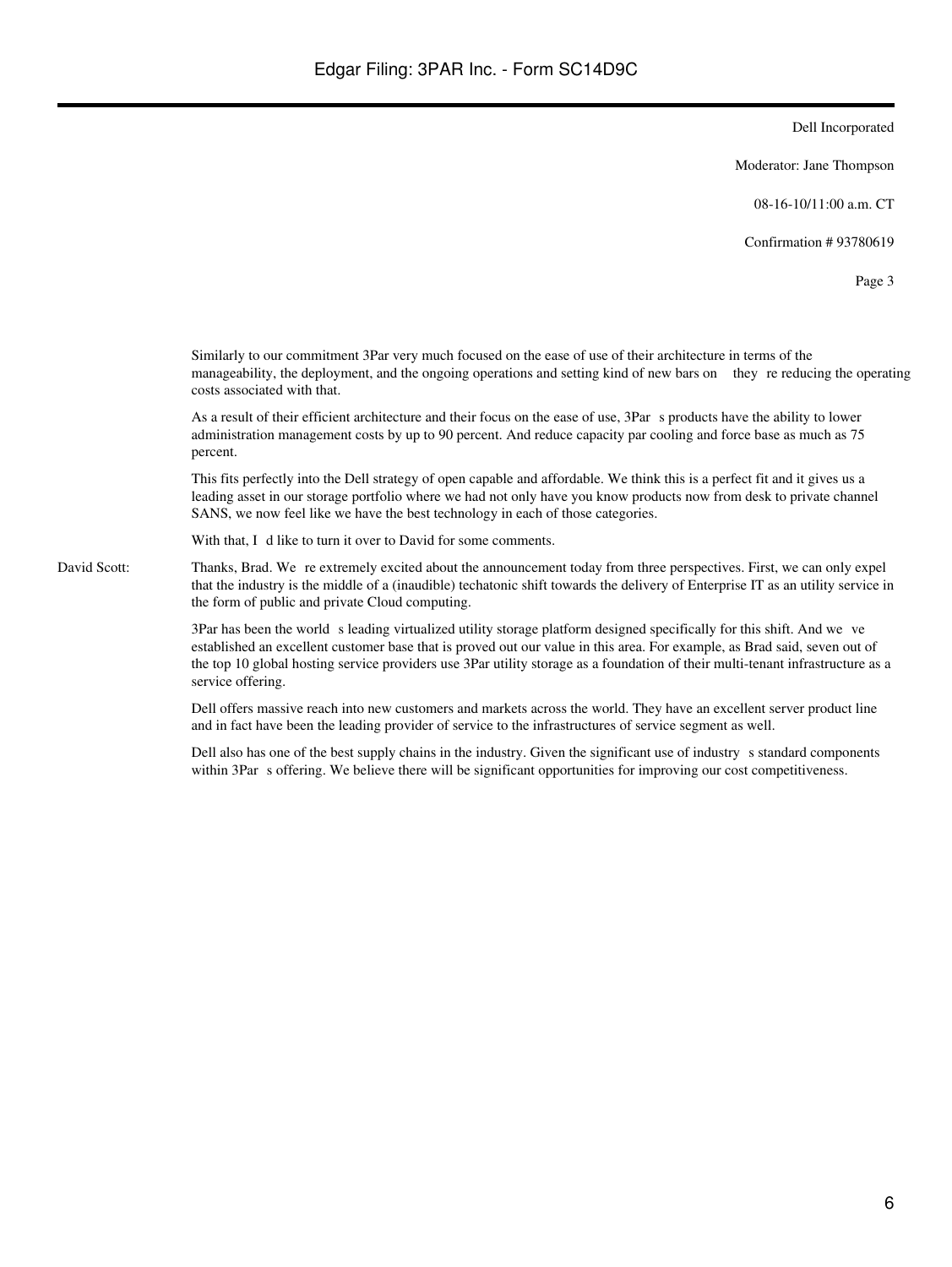Moderator: Jane Thompson

08-16-10/11:00 a.m. CT

Confirmation # 93780619

Page 3

Similarly to our commitment 3Par very much focused on the ease of use of their architecture in terms of the manageability, the deployment, and the ongoing operations and setting kind of new bars on they re reducing the operating costs associated with that.

As a result of their efficient architecture and their focus on the ease of use, 3Par s products have the ability to lower administration management costs by up to 90 percent. And reduce capacity par cooling and force base as much as 75 percent.

This fits perfectly into the Dell strategy of open capable and affordable. We think this is a perfect fit and it gives us a leading asset in our storage portfolio where we had not only have you know products now from desk to private channel SANS, we now feel like we have the best technology in each of those categories.

With that, I d like to turn it over to David for some comments.

David Scott: Thanks, Brad. We re extremely excited about the announcement today from three perspectives. First, we can only expel that the industry is the middle of a (inaudible) techatonic shift towards the delivery of Enterprise IT as an utility service in the form of public and private Cloud computing.

> 3Par has been the world s leading virtualized utility storage platform designed specifically for this shift. And we ve established an excellent customer base that is proved out our value in this area. For example, as Brad said, seven out of the top 10 global hosting service providers use 3Par utility storage as a foundation of their multi-tenant infrastructure as a service offering.

Dell offers massive reach into new customers and markets across the world. They have an excellent server product line and in fact have been the leading provider of service to the infrastructures of service segment as well.

Dell also has one of the best supply chains in the industry. Given the significant use of industry s standard components within 3Par s offering. We believe there will be significant opportunities for improving our cost competitiveness.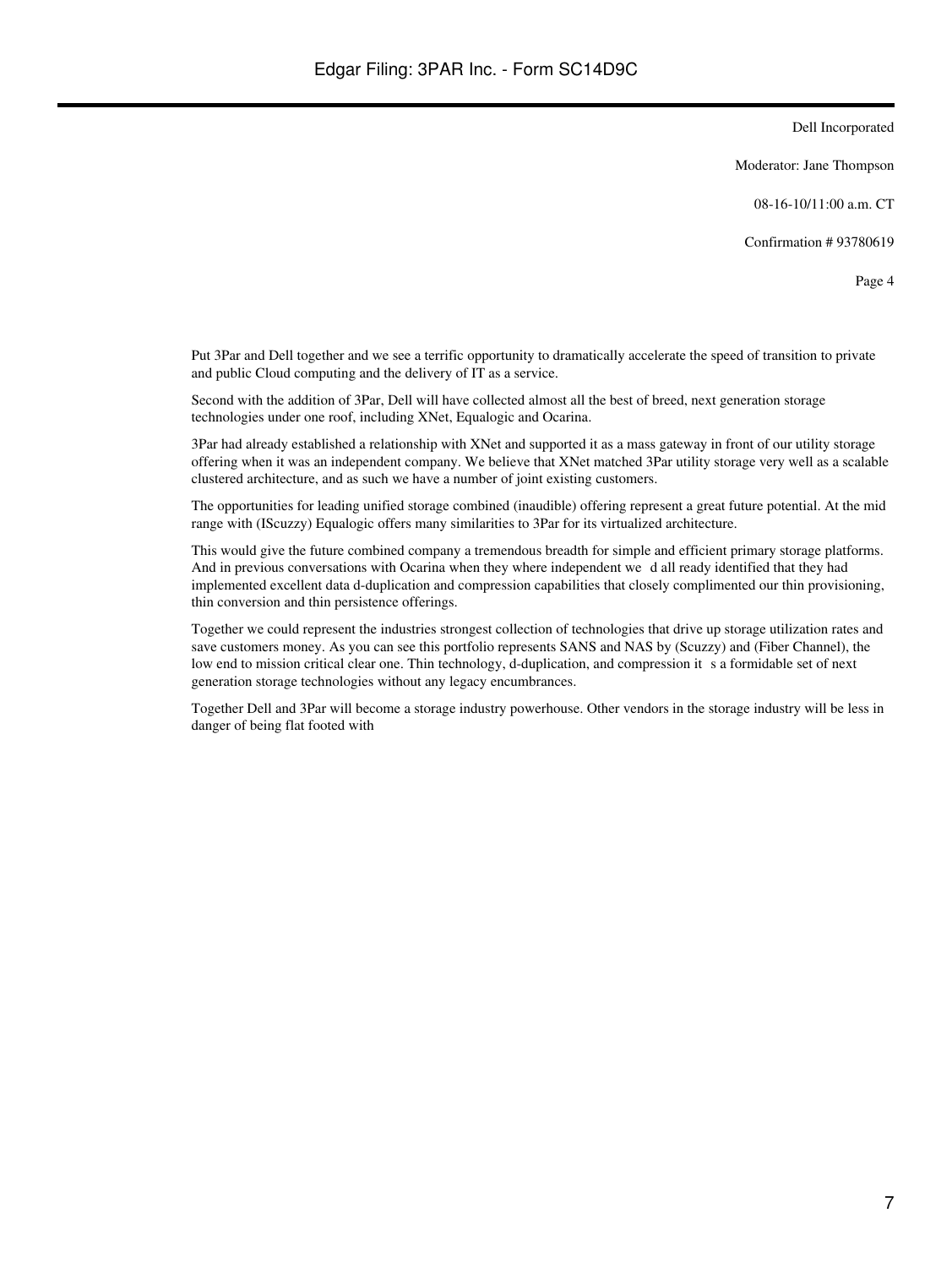Moderator: Jane Thompson

08-16-10/11:00 a.m. CT

Confirmation # 93780619

Page 4

Put 3Par and Dell together and we see a terrific opportunity to dramatically accelerate the speed of transition to private and public Cloud computing and the delivery of IT as a service.

Second with the addition of 3Par, Dell will have collected almost all the best of breed, next generation storage technologies under one roof, including XNet, Equalogic and Ocarina.

3Par had already established a relationship with XNet and supported it as a mass gateway in front of our utility storage offering when it was an independent company. We believe that XNet matched 3Par utility storage very well as a scalable clustered architecture, and as such we have a number of joint existing customers.

The opportunities for leading unified storage combined (inaudible) offering represent a great future potential. At the mid range with (IScuzzy) Equalogic offers many similarities to 3Par for its virtualized architecture.

This would give the future combined company a tremendous breadth for simple and efficient primary storage platforms. And in previous conversations with Ocarina when they where independent we d all ready identified that they had implemented excellent data d-duplication and compression capabilities that closely complimented our thin provisioning, thin conversion and thin persistence offerings.

Together we could represent the industries strongest collection of technologies that drive up storage utilization rates and save customers money. As you can see this portfolio represents SANS and NAS by (Scuzzy) and (Fiber Channel), the low end to mission critical clear one. Thin technology, d-duplication, and compression it s a formidable set of next generation storage technologies without any legacy encumbrances.

Together Dell and 3Par will become a storage industry powerhouse. Other vendors in the storage industry will be less in danger of being flat footed with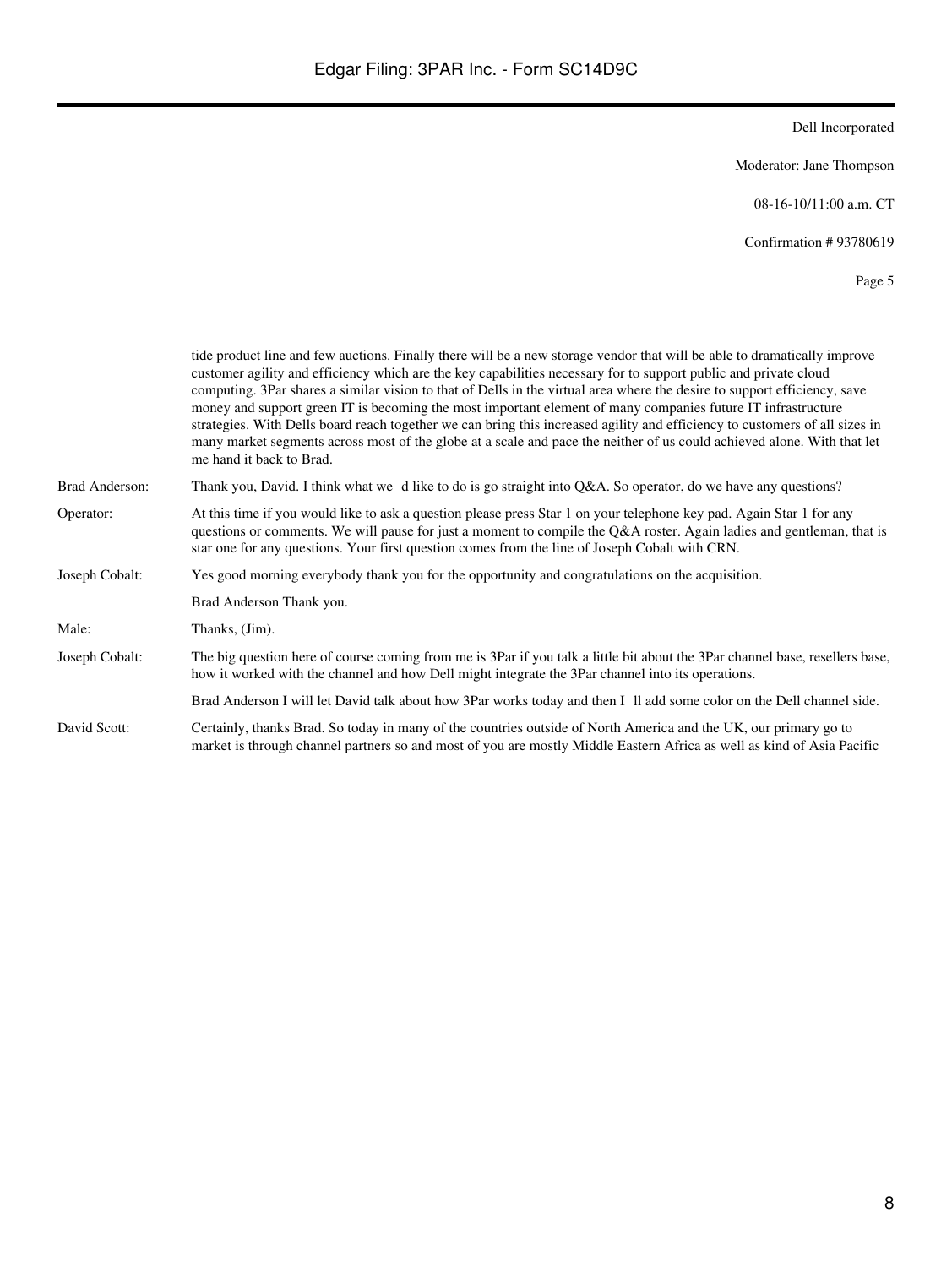Moderator: Jane Thompson

08-16-10/11:00 a.m. CT

Confirmation # 93780619

|                | tide product line and few auctions. Finally there will be a new storage vendor that will be able to dramatically improve<br>customer agility and efficiency which are the key capabilities necessary for to support public and private cloud<br>computing. 3Par shares a similar vision to that of Dells in the virtual area where the desire to support efficiency, save<br>money and support green IT is becoming the most important element of many companies future IT infrastructure<br>strategies. With Dells board reach together we can bring this increased agility and efficiency to customers of all sizes in<br>many market segments across most of the globe at a scale and pace the neither of us could achieved alone. With that let<br>me hand it back to Brad. |
|----------------|---------------------------------------------------------------------------------------------------------------------------------------------------------------------------------------------------------------------------------------------------------------------------------------------------------------------------------------------------------------------------------------------------------------------------------------------------------------------------------------------------------------------------------------------------------------------------------------------------------------------------------------------------------------------------------------------------------------------------------------------------------------------------------|
| Brad Anderson: | Thank you, David. I think what we d like to do is go straight into Q&A. So operator, do we have any questions?                                                                                                                                                                                                                                                                                                                                                                                                                                                                                                                                                                                                                                                                  |
| Operator:      | At this time if you would like to ask a question please press Star 1 on your telephone key pad. Again Star 1 for any<br>questions or comments. We will pause for just a moment to compile the Q&A roster. Again ladies and gentleman, that is<br>star one for any questions. Your first question comes from the line of Joseph Cobalt with CRN.                                                                                                                                                                                                                                                                                                                                                                                                                                 |
| Joseph Cobalt: | Yes good morning everybody thank you for the opportunity and congratulations on the acquisition.                                                                                                                                                                                                                                                                                                                                                                                                                                                                                                                                                                                                                                                                                |
|                | Brad Anderson Thank you.                                                                                                                                                                                                                                                                                                                                                                                                                                                                                                                                                                                                                                                                                                                                                        |
| Male:          | Thanks, (Jim).                                                                                                                                                                                                                                                                                                                                                                                                                                                                                                                                                                                                                                                                                                                                                                  |
| Joseph Cobalt: | The big question here of course coming from me is 3Par if you talk a little bit about the 3Par channel base, resellers base,<br>how it worked with the channel and how Dell might integrate the 3Par channel into its operations.                                                                                                                                                                                                                                                                                                                                                                                                                                                                                                                                               |
|                | Brad Anderson I will let David talk about how 3Par works today and then I II add some color on the Dell channel side.                                                                                                                                                                                                                                                                                                                                                                                                                                                                                                                                                                                                                                                           |
| David Scott:   | Certainly, thanks Brad. So today in many of the countries outside of North America and the UK, our primary go to<br>market is through channel partners so and most of you are mostly Middle Eastern Africa as well as kind of Asia Pacific                                                                                                                                                                                                                                                                                                                                                                                                                                                                                                                                      |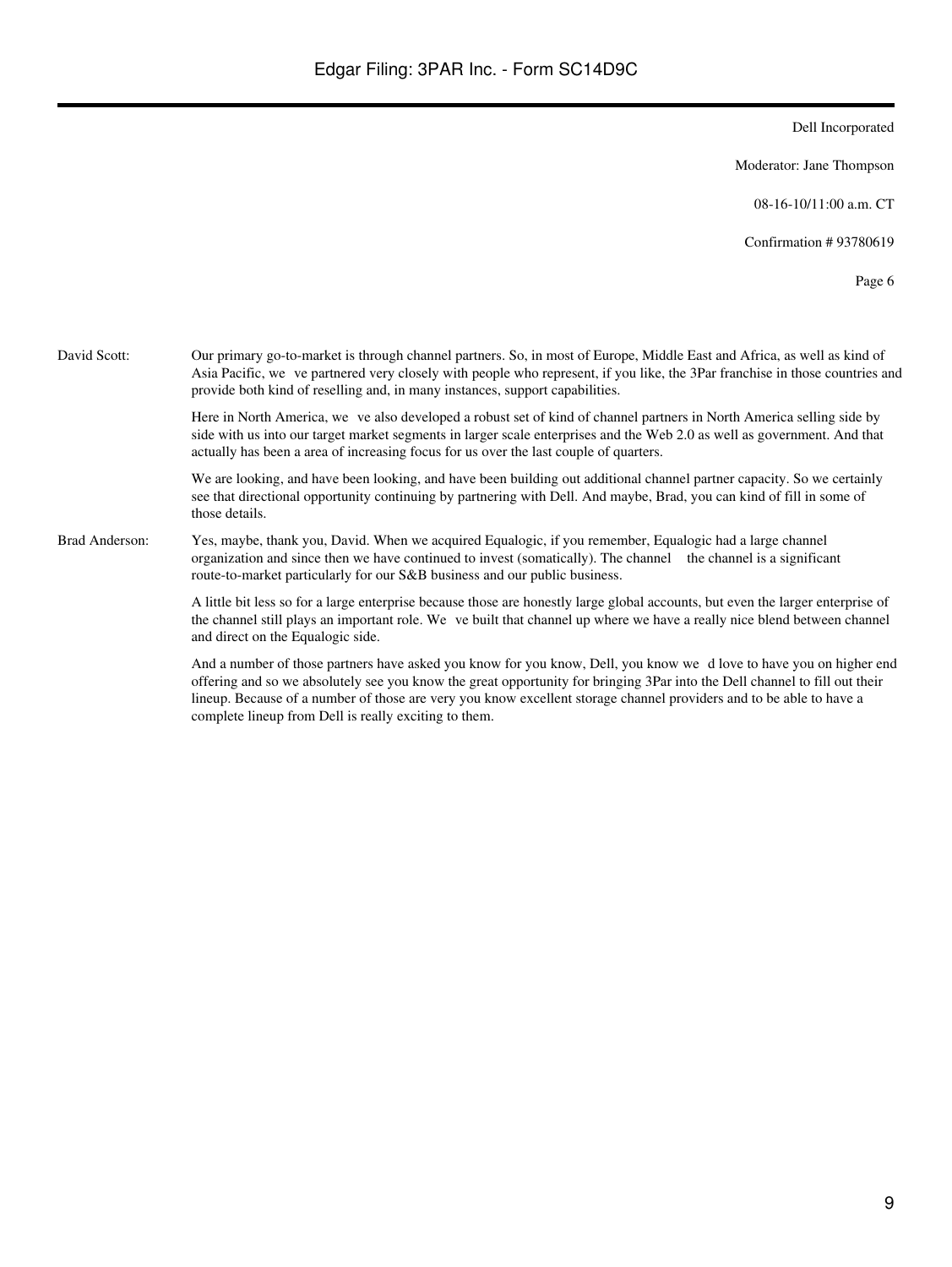Moderator: Jane Thompson

08-16-10/11:00 a.m. CT

Confirmation # 93780619

Page 6

David Scott: Our primary go-to-market is through channel partners. So, in most of Europe, Middle East and Africa, as well as kind of Asia Pacific, we ve partnered very closely with people who represent, if you like, the 3Par franchise in those countries and provide both kind of reselling and, in many instances, support capabilities. Here in North America, we ve also developed a robust set of kind of channel partners in North America selling side by side with us into our target market segments in larger scale enterprises and the Web 2.0 as well as government. And that actually has been a area of increasing focus for us over the last couple of quarters.

> We are looking, and have been looking, and have been building out additional channel partner capacity. So we certainly see that directional opportunity continuing by partnering with Dell. And maybe, Brad, you can kind of fill in some of those details.

Brad Anderson: Yes, maybe, thank you, David. When we acquired Equalogic, if you remember, Equalogic had a large channel organization and since then we have continued to invest (somatically). The channel the channel is a significant route-to-market particularly for our S&B business and our public business.

> A little bit less so for a large enterprise because those are honestly large global accounts, but even the larger enterprise of the channel still plays an important role. We ve built that channel up where we have a really nice blend between channel and direct on the Equalogic side.

And a number of those partners have asked you know for you know, Dell, you know we dlove to have you on higher end offering and so we absolutely see you know the great opportunity for bringing 3Par into the Dell channel to fill out their lineup. Because of a number of those are very you know excellent storage channel providers and to be able to have a complete lineup from Dell is really exciting to them.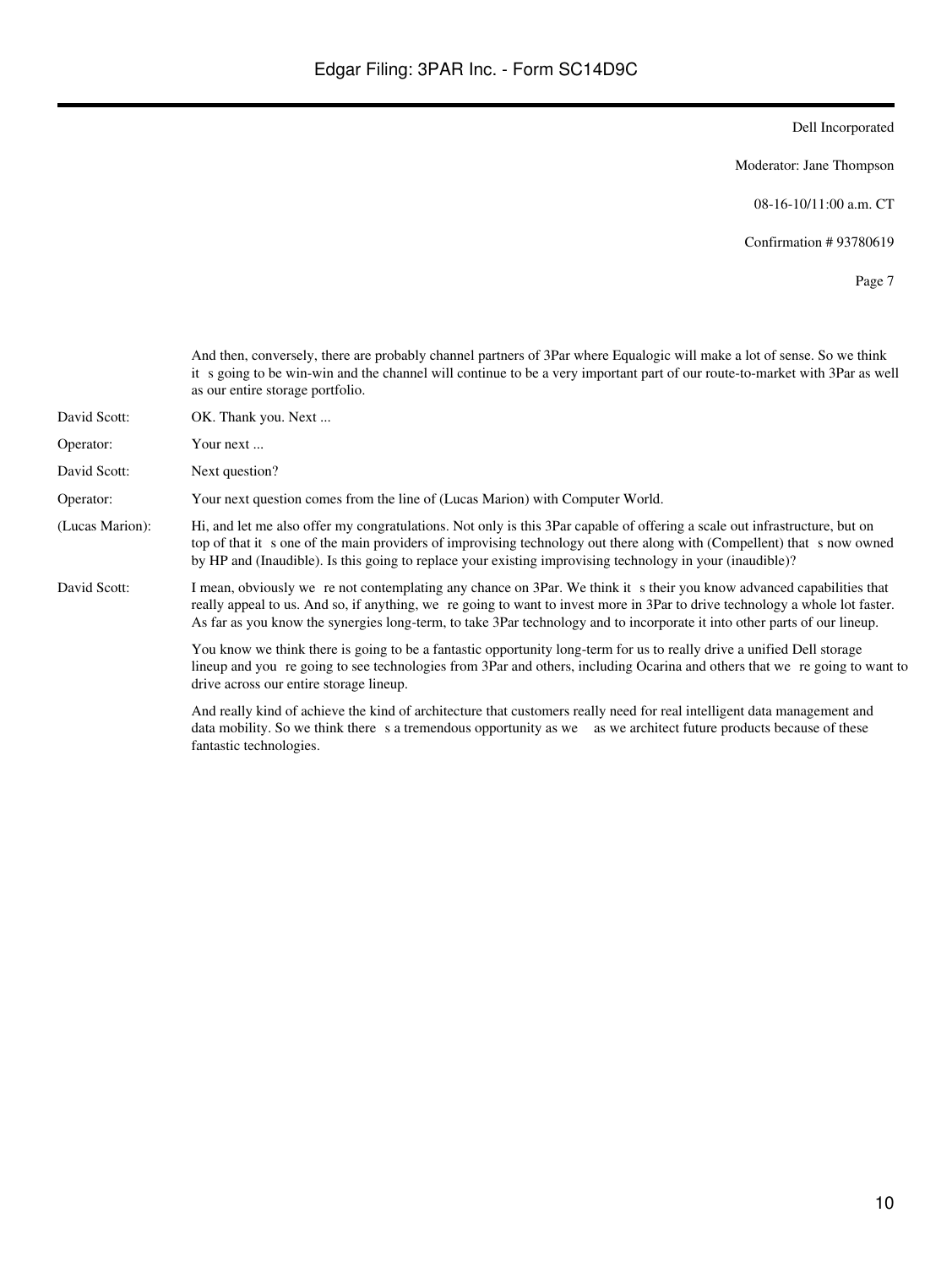Moderator: Jane Thompson

08-16-10/11:00 a.m. CT

Confirmation # 93780619

Page 7

And then, conversely, there are probably channel partners of 3Par where Equalogic will make a lot of sense. So we think it s going to be win-win and the channel will continue to be a very important part of our route-to-market with 3Par as well as our entire storage portfolio.

- David Scott: OK. Thank you. Next ...
- Operator: Your next ...
- David Scott: Next question?

Operator: Your next question comes from the line of (Lucas Marion) with Computer World.

- (Lucas Marion): Hi, and let me also offer my congratulations. Not only is this 3Par capable of offering a scale out infrastructure, but on top of that it s one of the main providers of improvising technology out there along with (Compellent) that s now owned by HP and (Inaudible). Is this going to replace your existing improvising technology in your (inaudible)?
- David Scott: I mean, obviously we re not contemplating any chance on 3Par. We think it s their you know advanced capabilities that really appeal to us. And so, if anything, we re going to want to invest more in 3Par to drive technology a whole lot faster. As far as you know the synergies long-term, to take 3Par technology and to incorporate it into other parts of our lineup.

You know we think there is going to be a fantastic opportunity long-term for us to really drive a unified Dell storage lineup and you re going to see technologies from 3Par and others, including Ocarina and others that we re going to want to drive across our entire storage lineup.

And really kind of achieve the kind of architecture that customers really need for real intelligent data management and data mobility. So we think there s a tremendous opportunity as we as we architect future products because of these fantastic technologies.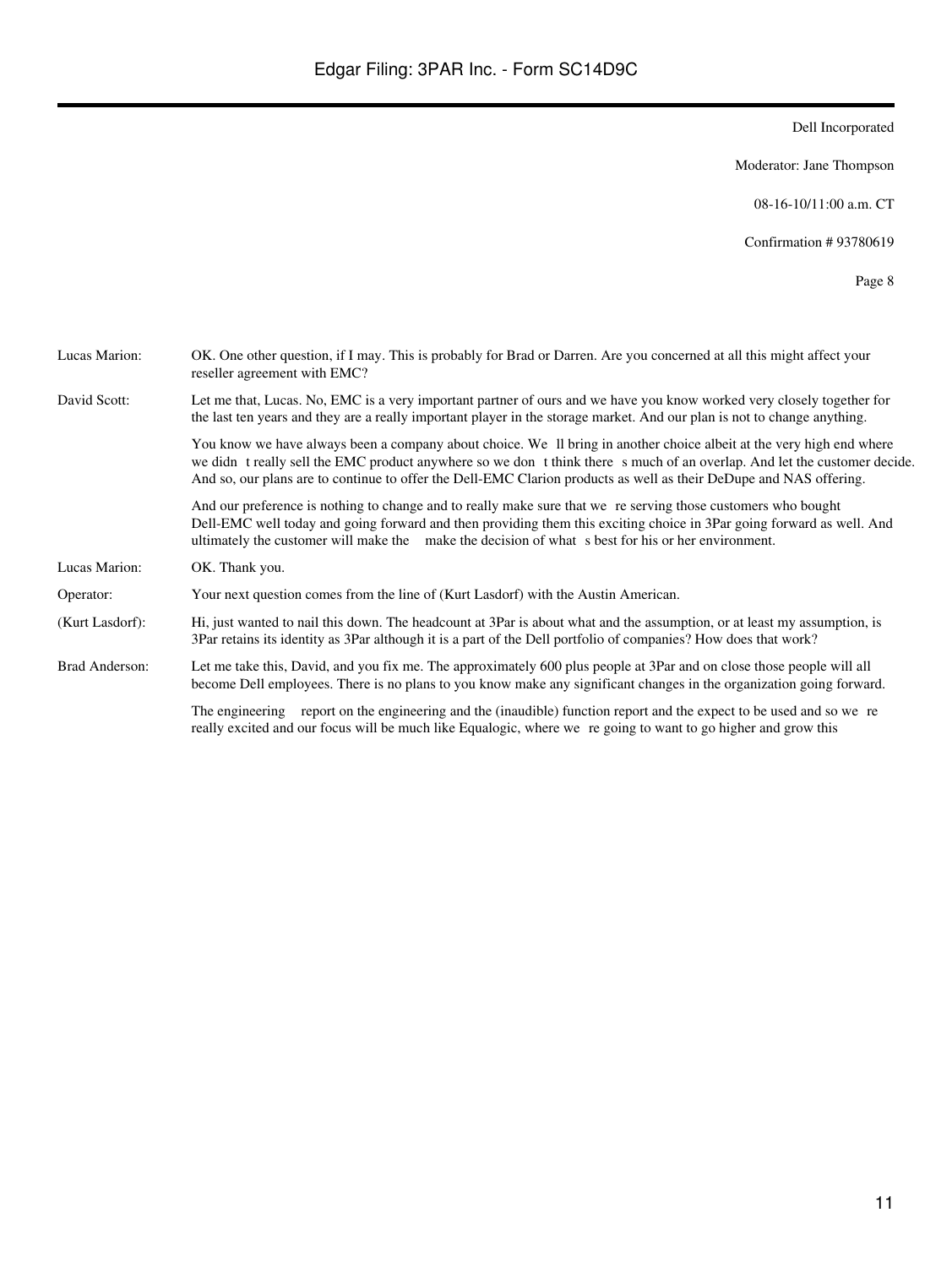Moderator: Jane Thompson

08-16-10/11:00 a.m. CT

Confirmation # 93780619

| Lucas Marion:   | OK. One other question, if I may. This is probably for Brad or Darren. Are you concerned at all this might affect your<br>reseller agreement with EMC?                                                                                                                                                                                                                  |
|-----------------|-------------------------------------------------------------------------------------------------------------------------------------------------------------------------------------------------------------------------------------------------------------------------------------------------------------------------------------------------------------------------|
| David Scott:    | Let me that, Lucas. No, EMC is a very important partner of ours and we have you know worked very closely together for<br>the last ten years and they are a really important player in the storage market. And our plan is not to change anything.                                                                                                                       |
|                 | You know we have always been a company about choice. We II bring in another choice albeit at the very high end where<br>we didn t really sell the EMC product anywhere so we don t think there s much of an overlap. And let the customer decide.<br>And so, our plans are to continue to offer the Dell-EMC Clarion products as well as their DeDupe and NAS offering. |
|                 | And our preference is nothing to change and to really make sure that we re serving those customers who bought<br>Dell-EMC well today and going forward and then providing them this exciting choice in 3Par going forward as well. And<br>ultimately the customer will make the make the decision of what s best for his or her environment.                            |
| Lucas Marion:   | OK. Thank you.                                                                                                                                                                                                                                                                                                                                                          |
| Operator:       | Your next question comes from the line of (Kurt Lasdorf) with the Austin American.                                                                                                                                                                                                                                                                                      |
| (Kurt Lasdorf): | Hi, just wanted to nail this down. The headcount at 3Par is about what and the assumption, or at least my assumption, is<br>3Par retains its identity as 3Par although it is a part of the Dell portfolio of companies? How does that work?                                                                                                                             |
| Brad Anderson:  | Let me take this, David, and you fix me. The approximately 600 plus people at 3Par and on close those people will all<br>become Dell employees. There is no plans to you know make any significant changes in the organization going forward.                                                                                                                           |
|                 | The engineering report on the engineering and the (inaudible) function report and the expect to be used and so we re<br>really excited and our focus will be much like Equalogic, where we regoing to want to go higher and grow this                                                                                                                                   |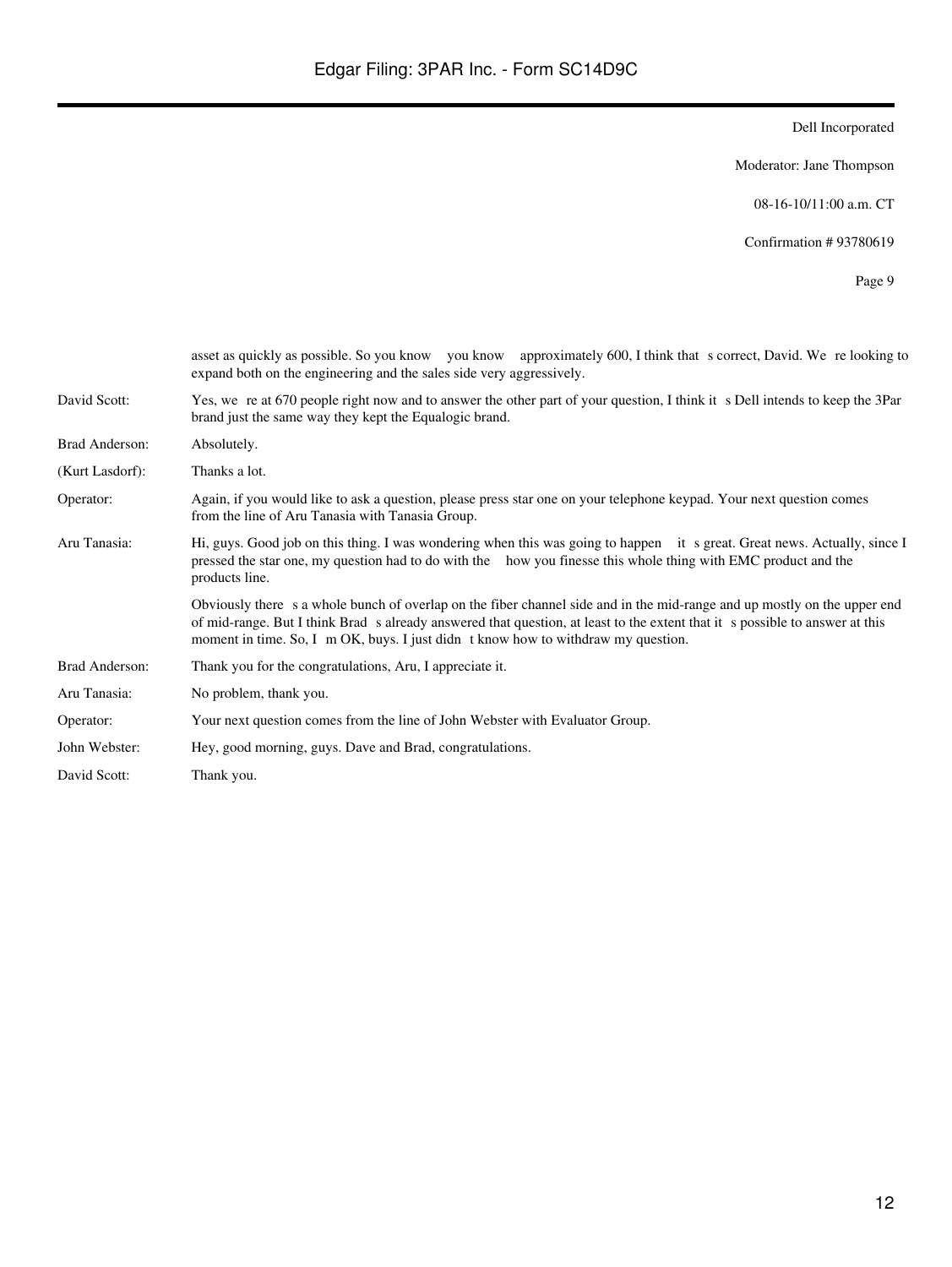Moderator: Jane Thompson

08-16-10/11:00 a.m. CT

Confirmation # 93780619

|                 | asset as quickly as possible. So you know you know approximately 600, I think that s correct, David. We relooking to<br>expand both on the engineering and the sales side very aggressively.                                                                                                                                                  |
|-----------------|-----------------------------------------------------------------------------------------------------------------------------------------------------------------------------------------------------------------------------------------------------------------------------------------------------------------------------------------------|
| David Scott:    | Yes, we re at 670 people right now and to answer the other part of your question, I think it s Dell intends to keep the 3Par<br>brand just the same way they kept the Equalogic brand.                                                                                                                                                        |
| Brad Anderson:  | Absolutely.                                                                                                                                                                                                                                                                                                                                   |
| (Kurt Lasdorf): | Thanks a lot.                                                                                                                                                                                                                                                                                                                                 |
| Operator:       | Again, if you would like to ask a question, please press star one on your telephone keypad. Your next question comes<br>from the line of Aru Tanasia with Tanasia Group.                                                                                                                                                                      |
| Aru Tanasia:    | Hi, guys. Good job on this thing. I was wondering when this was going to happen it s great. Great news. Actually, since I<br>pressed the star one, my question had to do with the how you finesse this whole thing with EMC product and the<br>products line.                                                                                 |
|                 | Obviously there s a whole bunch of overlap on the fiber channel side and in the mid-range and up mostly on the upper end<br>of mid-range. But I think Brad s already answered that question, at least to the extent that it s possible to answer at this<br>moment in time. So, I m OK, buys. I just didn t know how to withdraw my question. |
| Brad Anderson:  | Thank you for the congratulations, Aru, I appreciate it.                                                                                                                                                                                                                                                                                      |
| Aru Tanasia:    | No problem, thank you.                                                                                                                                                                                                                                                                                                                        |
| Operator:       | Your next question comes from the line of John Webster with Evaluator Group.                                                                                                                                                                                                                                                                  |
| John Webster:   | Hey, good morning, guys. Dave and Brad, congratulations.                                                                                                                                                                                                                                                                                      |
| David Scott:    | Thank you.                                                                                                                                                                                                                                                                                                                                    |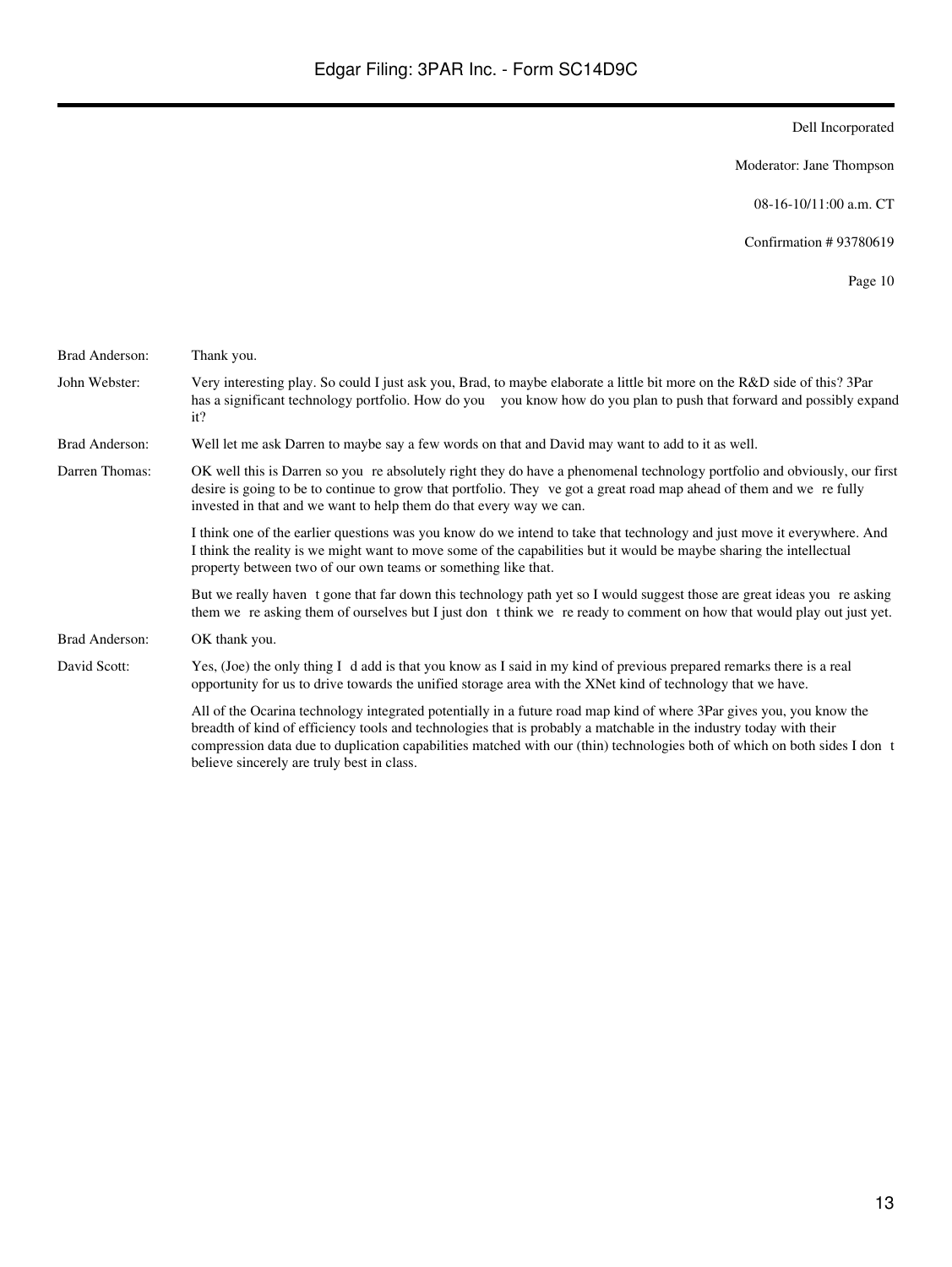Moderator: Jane Thompson

08-16-10/11:00 a.m. CT

Confirmation # 93780619

| Brad Anderson: | Thank you.                                                                                                                                                                                                                                                                                                                                                                                                            |
|----------------|-----------------------------------------------------------------------------------------------------------------------------------------------------------------------------------------------------------------------------------------------------------------------------------------------------------------------------------------------------------------------------------------------------------------------|
| John Webster:  | Very interesting play. So could I just ask you, Brad, to maybe elaborate a little bit more on the R&D side of this? 3Par<br>has a significant technology portfolio. How do you you know how do you plan to push that forward and possibly expand<br>it?                                                                                                                                                               |
| Brad Anderson: | Well let me ask Darren to maybe say a few words on that and David may want to add to it as well.                                                                                                                                                                                                                                                                                                                      |
| Darren Thomas: | OK well this is Darren so you re absolutely right they do have a phenomenal technology portfolio and obviously, our first<br>desire is going to be to continue to grow that portfolio. They ve got a great road map ahead of them and we refully<br>invested in that and we want to help them do that every way we can.                                                                                               |
|                | I think one of the earlier questions was you know do we intend to take that technology and just move it everywhere. And<br>I think the reality is we might want to move some of the capabilities but it would be maybe sharing the intellectual<br>property between two of our own teams or something like that.                                                                                                      |
|                | But we really haven t gone that far down this technology path yet so I would suggest those are great ideas you re asking<br>them we reasking them of ourselves but I just don t think we reready to comment on how that would play out just yet.                                                                                                                                                                      |
| Brad Anderson: | OK thank you.                                                                                                                                                                                                                                                                                                                                                                                                         |
| David Scott:   | Yes, (Joe) the only thing I d add is that you know as I said in my kind of previous prepared remarks there is a real<br>opportunity for us to drive towards the unified storage area with the XNet kind of technology that we have.                                                                                                                                                                                   |
|                | All of the Ocarina technology integrated potentially in a future road map kind of where 3Par gives you, you know the<br>breadth of kind of efficiency tools and technologies that is probably a matchable in the industry today with their<br>compression data due to duplication capabilities matched with our (thin) technologies both of which on both sides I don t<br>believe sincerely are truly best in class. |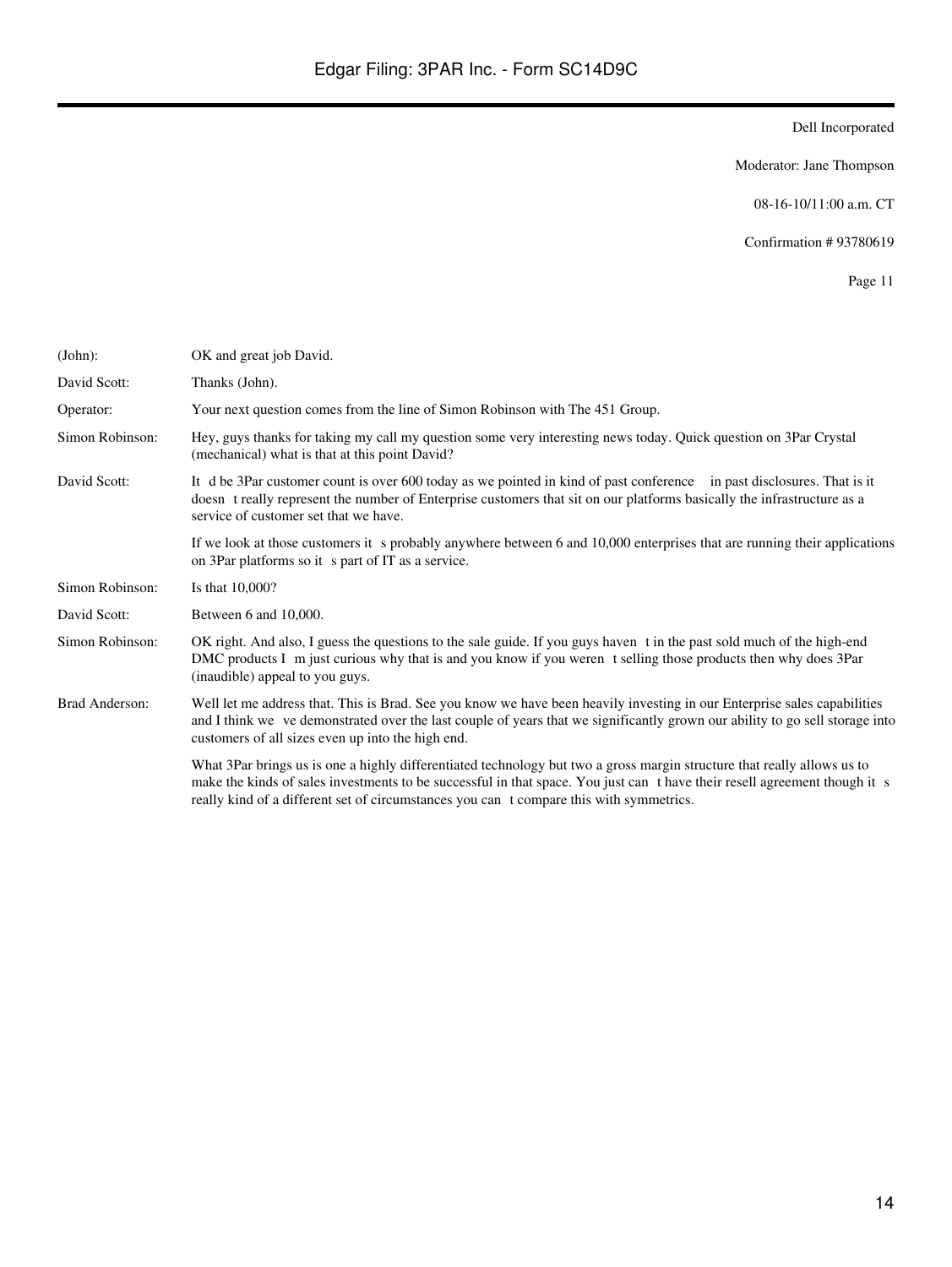Moderator: Jane Thompson

08-16-10/11:00 a.m. CT

Confirmation # 93780619

| (John):         | OK and great job David.                                                                                                                                                                                                                                                                                                                          |
|-----------------|--------------------------------------------------------------------------------------------------------------------------------------------------------------------------------------------------------------------------------------------------------------------------------------------------------------------------------------------------|
| David Scott:    | Thanks (John).                                                                                                                                                                                                                                                                                                                                   |
| Operator:       | Your next question comes from the line of Simon Robinson with The 451 Group.                                                                                                                                                                                                                                                                     |
| Simon Robinson: | Hey, guys thanks for taking my call my question some very interesting news today. Quick question on 3Par Crystal<br>(mechanical) what is that at this point David?                                                                                                                                                                               |
| David Scott:    | It d be 3Par customer count is over 600 today as we pointed in kind of past conference in past disclosures. That is it<br>doesn t really represent the number of Enterprise customers that sit on our platforms basically the infrastructure as a<br>service of customer set that we have.                                                       |
|                 | If we look at those customers it s probably anywhere between 6 and 10,000 enterprises that are running their applications<br>on 3Par platforms so it s part of IT as a service.                                                                                                                                                                  |
| Simon Robinson: | Is that 10,000?                                                                                                                                                                                                                                                                                                                                  |
| David Scott:    | Between 6 and 10,000.                                                                                                                                                                                                                                                                                                                            |
| Simon Robinson: | OK right. And also, I guess the questions to the sale guide. If you guys haven t in the past sold much of the high-end<br>DMC products I m just curious why that is and you know if you weren t selling those products then why does 3Par<br>(inaudible) appeal to you guys.                                                                     |
| Brad Anderson:  | Well let me address that. This is Brad. See you know we have been heavily investing in our Enterprise sales capabilities<br>and I think we ve demonstrated over the last couple of years that we significantly grown our ability to go sell storage into<br>customers of all sizes even up into the high end.                                    |
|                 | What 3Par brings us is one a highly differentiated technology but two a gross margin structure that really allows us to<br>make the kinds of sales investments to be successful in that space. You just can t have their resell agreement though it s<br>really kind of a different set of circumstances you can t compare this with symmetrics. |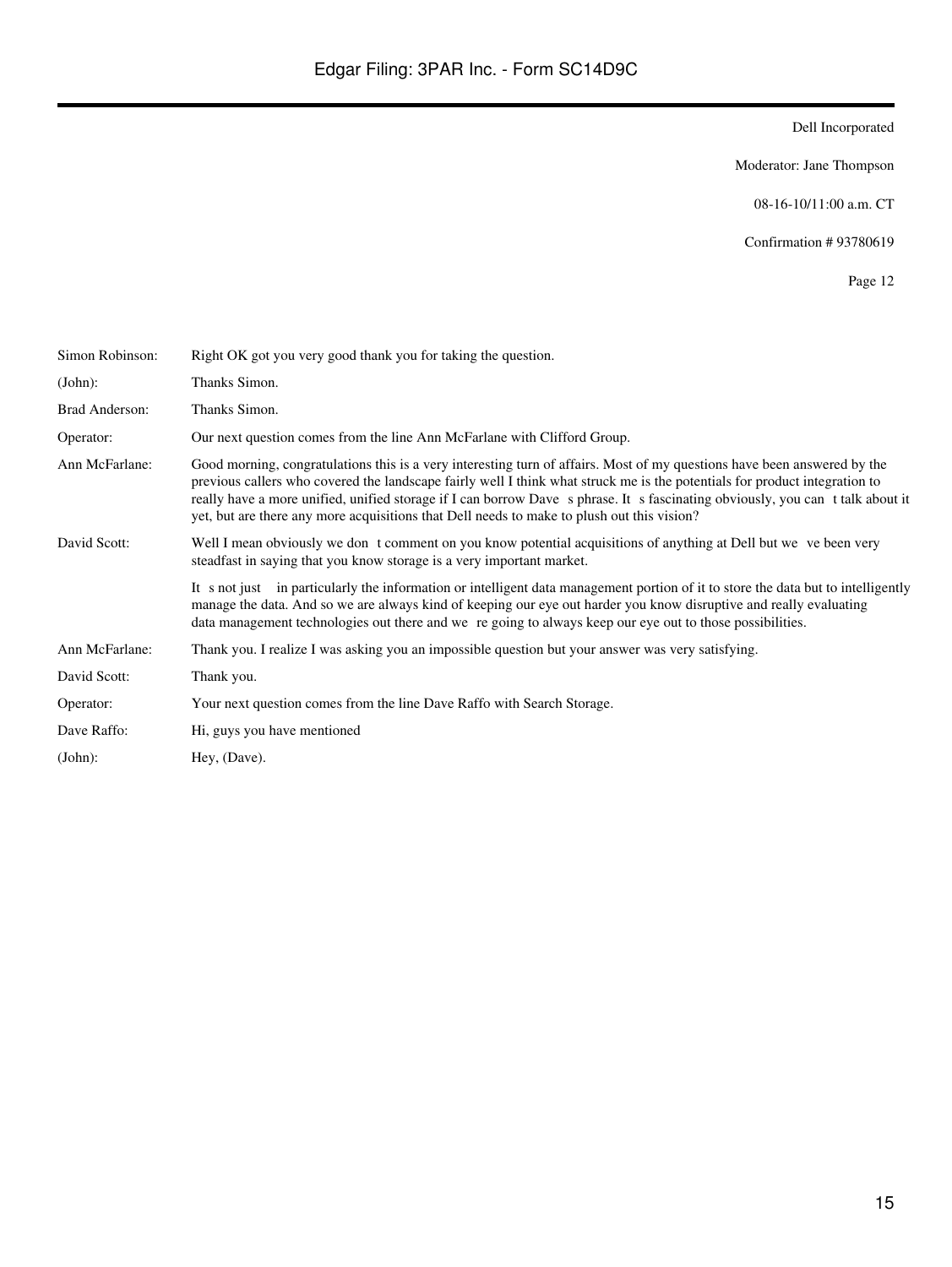Moderator: Jane Thompson

08-16-10/11:00 a.m. CT

Confirmation # 93780619

| Simon Robinson: | Right OK got you very good thank you for taking the question.                                                                                                                                                                                                                                                                                                                                                                                                                          |
|-----------------|----------------------------------------------------------------------------------------------------------------------------------------------------------------------------------------------------------------------------------------------------------------------------------------------------------------------------------------------------------------------------------------------------------------------------------------------------------------------------------------|
| (John):         | Thanks Simon.                                                                                                                                                                                                                                                                                                                                                                                                                                                                          |
| Brad Anderson:  | Thanks Simon.                                                                                                                                                                                                                                                                                                                                                                                                                                                                          |
| Operator:       | Our next question comes from the line Ann McFarlane with Clifford Group.                                                                                                                                                                                                                                                                                                                                                                                                               |
| Ann McFarlane:  | Good morning, congratulations this is a very interesting turn of affairs. Most of my questions have been answered by the<br>previous callers who covered the landscape fairly well I think what struck me is the potentials for product integration to<br>really have a more unified, unified storage if I can borrow Dave s phrase. It s fascinating obviously, you can t talk about it<br>yet, but are there any more acquisitions that Dell needs to make to plush out this vision? |
| David Scott:    | Well I mean obviously we don t comment on you know potential acquisitions of anything at Dell but we ve been very<br>steadfast in saying that you know storage is a very important market.                                                                                                                                                                                                                                                                                             |
|                 | It s not just in particularly the information or intelligent data management portion of it to store the data but to intelligently<br>manage the data. And so we are always kind of keeping our eye out harder you know disruptive and really evaluating<br>data management technologies out there and we re going to always keep our eye out to those possibilities.                                                                                                                   |
| Ann McFarlane:  | Thank you. I realize I was asking you an impossible question but your answer was very satisfying.                                                                                                                                                                                                                                                                                                                                                                                      |
| David Scott:    | Thank you.                                                                                                                                                                                                                                                                                                                                                                                                                                                                             |
| Operator:       | Your next question comes from the line Dave Raffo with Search Storage.                                                                                                                                                                                                                                                                                                                                                                                                                 |
| Dave Raffo:     | Hi, guys you have mentioned                                                                                                                                                                                                                                                                                                                                                                                                                                                            |
| (John):         | Hey, (Dave).                                                                                                                                                                                                                                                                                                                                                                                                                                                                           |
|                 |                                                                                                                                                                                                                                                                                                                                                                                                                                                                                        |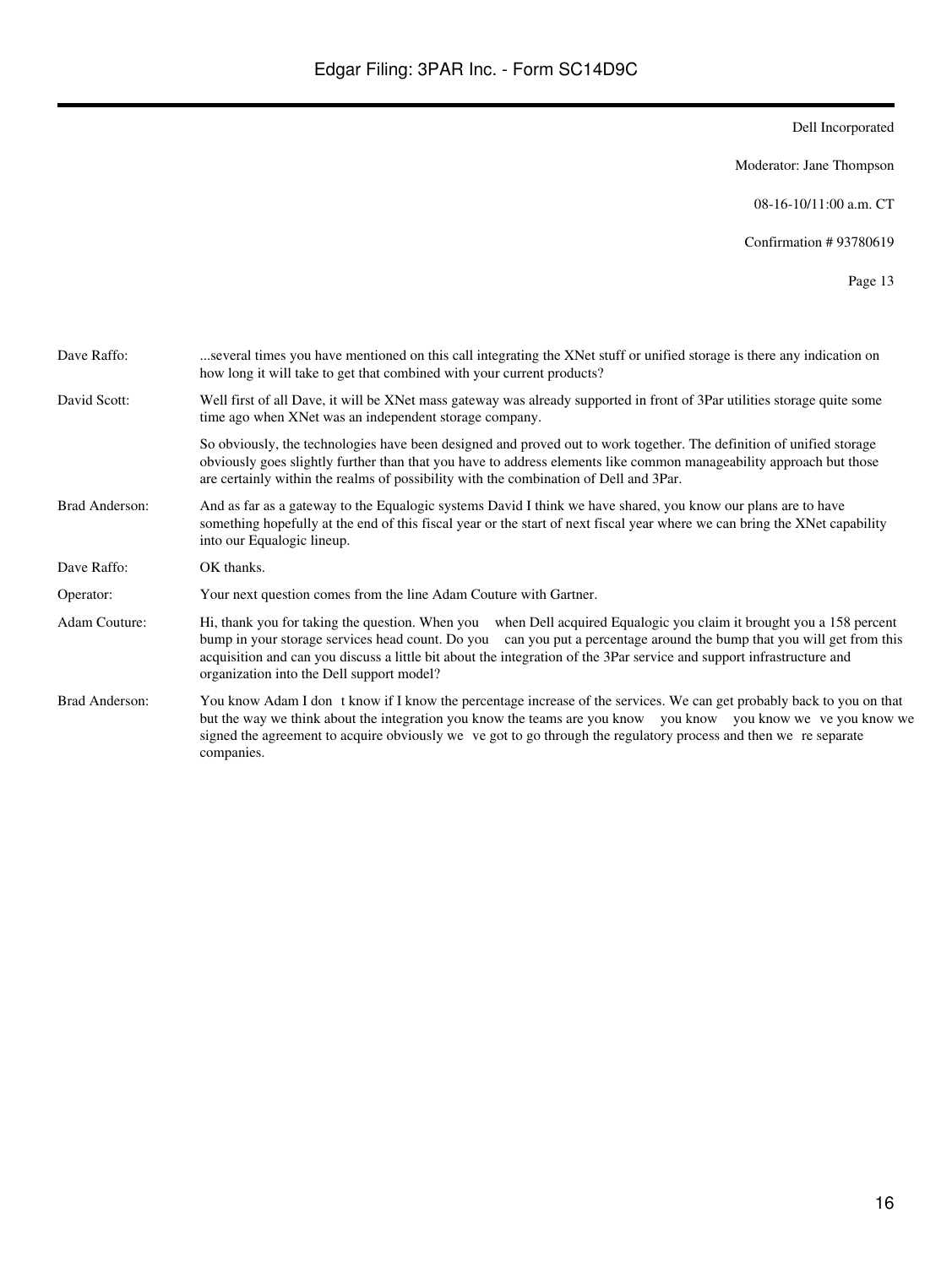Moderator: Jane Thompson

08-16-10/11:00 a.m. CT

Confirmation # 93780619

| Dave Raffo:    | several times you have mentioned on this call integrating the XNet stuff or unified storage is there any indication on<br>how long it will take to get that combined with your current products?                                                                                                                                                                                                                   |
|----------------|--------------------------------------------------------------------------------------------------------------------------------------------------------------------------------------------------------------------------------------------------------------------------------------------------------------------------------------------------------------------------------------------------------------------|
| David Scott:   | Well first of all Dave, it will be XNet mass gateway was already supported in front of 3Par utilities storage quite some<br>time ago when XNet was an independent storage company.                                                                                                                                                                                                                                 |
|                | So obviously, the technologies have been designed and proved out to work together. The definition of unified storage<br>obviously goes slightly further than that you have to address elements like common manageability approach but those<br>are certainly within the realms of possibility with the combination of Dell and 3Par.                                                                               |
| Brad Anderson: | And as far as a gateway to the Equalogic systems David I think we have shared, you know our plans are to have<br>something hopefully at the end of this fiscal year or the start of next fiscal year where we can bring the XNet capability<br>into our Equalogic lineup.                                                                                                                                          |
| Dave Raffo:    | OK thanks.                                                                                                                                                                                                                                                                                                                                                                                                         |
| Operator:      | Your next question comes from the line Adam Couture with Gartner.                                                                                                                                                                                                                                                                                                                                                  |
| Adam Couture:  | Hi, thank you for taking the question. When you when Dell acquired Equalogic you claim it brought you a 158 percent<br>bump in your storage services head count. Do you can you put a percentage around the bump that you will get from this<br>acquisition and can you discuss a little bit about the integration of the 3Par service and support infrastructure and<br>organization into the Dell support model? |
| Brad Anderson: | You know Adam I don t know if I know the percentage increase of the services. We can get probably back to you on that<br>but the way we think about the integration you know the teams are you know you know you know we ve you know we<br>signed the agreement to acquire obviously we ve got to go through the regulatory process and then we re separate<br>companies.                                          |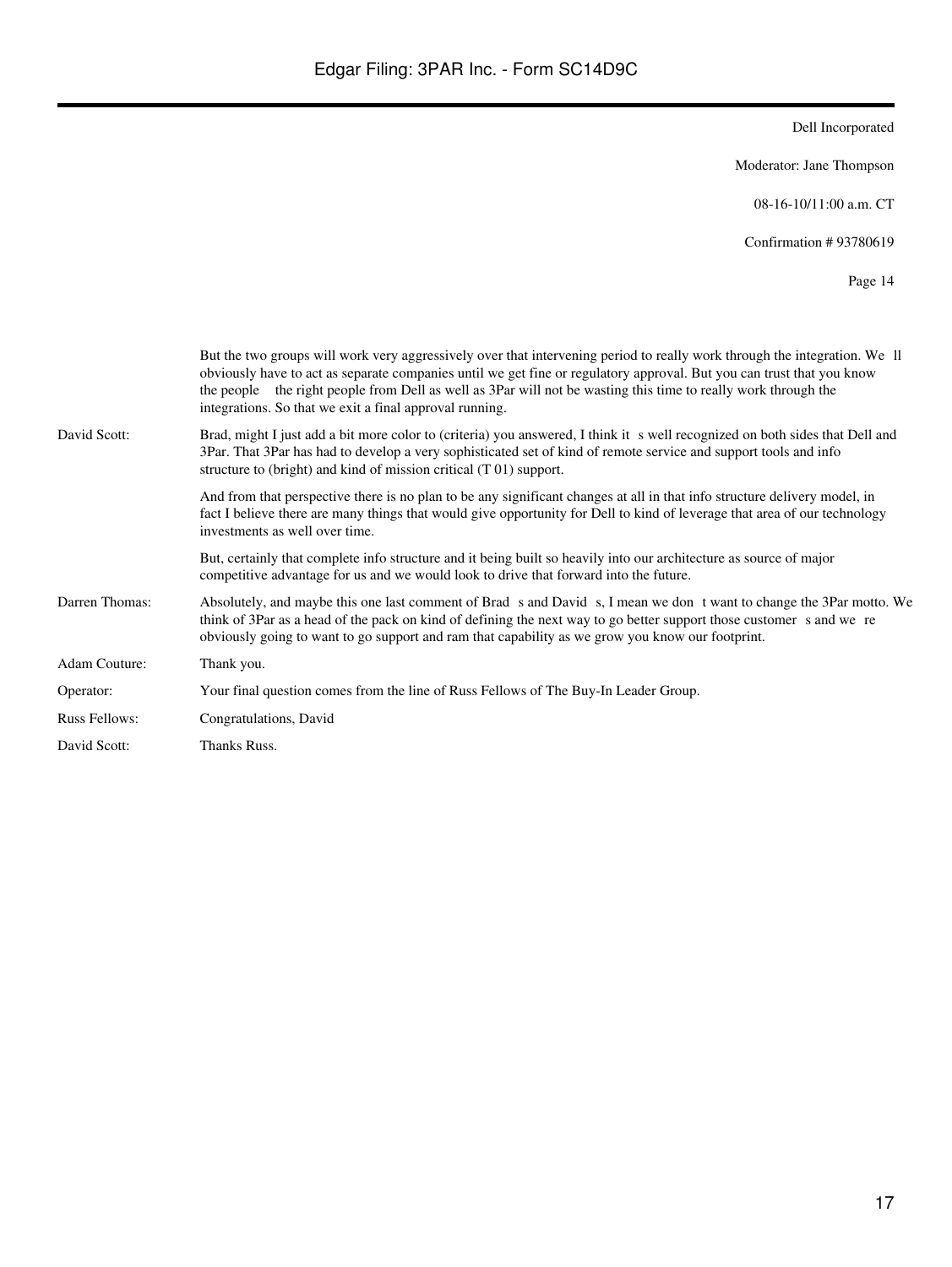Moderator: Jane Thompson

08-16-10/11:00 a.m. CT

Confirmation # 93780619

|                      | But the two groups will work very aggressively over that intervening period to really work through the integration. We ll<br>obviously have to act as separate companies until we get fine or regulatory approval. But you can trust that you know<br>the people the right people from Dell as well as 3Par will not be wasting this time to really work through the<br>integrations. So that we exit a final approval running. |
|----------------------|---------------------------------------------------------------------------------------------------------------------------------------------------------------------------------------------------------------------------------------------------------------------------------------------------------------------------------------------------------------------------------------------------------------------------------|
| David Scott:         | Brad, might I just add a bit more color to (criteria) you answered, I think it s well recognized on both sides that Dell and<br>3Par. That 3Par has had to develop a very sophisticated set of kind of remote service and support tools and info<br>structure to (bright) and kind of mission critical (T 01) support.                                                                                                          |
|                      | And from that perspective there is no plan to be any significant changes at all in that info structure delivery model, in<br>fact I believe there are many things that would give opportunity for Dell to kind of leverage that area of our technology<br>investments as well over time.                                                                                                                                        |
|                      | But, certainly that complete info structure and it being built so heavily into our architecture as source of major<br>competitive advantage for us and we would look to drive that forward into the future.                                                                                                                                                                                                                     |
| Darren Thomas:       | Absolutely, and maybe this one last comment of Brad s and David s, I mean we don t want to change the 3Par motto. We<br>think of 3Par as a head of the pack on kind of defining the next way to go better support those customer s and we re<br>obviously going to want to go support and ram that capability as we grow you know our footprint.                                                                                |
| Adam Couture:        | Thank you.                                                                                                                                                                                                                                                                                                                                                                                                                      |
| Operator:            | Your final question comes from the line of Russ Fellows of The Buy-In Leader Group.                                                                                                                                                                                                                                                                                                                                             |
| <b>Russ Fellows:</b> | Congratulations, David                                                                                                                                                                                                                                                                                                                                                                                                          |
| David Scott:         | Thanks Russ.                                                                                                                                                                                                                                                                                                                                                                                                                    |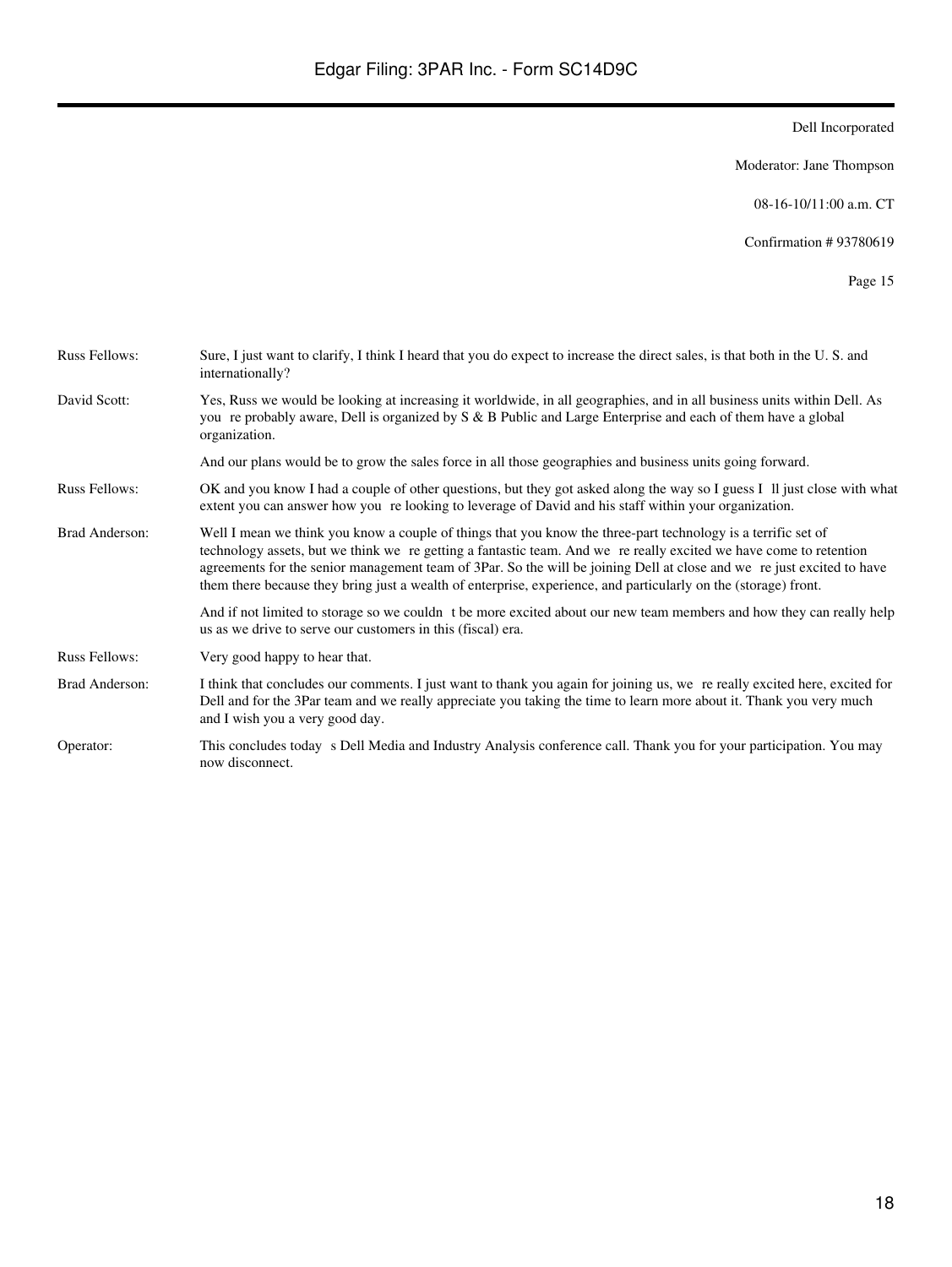Moderator: Jane Thompson

08-16-10/11:00 a.m. CT

Confirmation # 93780619

| <b>Russ Fellows:</b> | Sure, I just want to clarify, I think I heard that you do expect to increase the direct sales, is that both in the U.S. and<br>internationally?                                                                                                                                                                                                                                                                                                                                |
|----------------------|--------------------------------------------------------------------------------------------------------------------------------------------------------------------------------------------------------------------------------------------------------------------------------------------------------------------------------------------------------------------------------------------------------------------------------------------------------------------------------|
| David Scott:         | Yes, Russ we would be looking at increasing it worldwide, in all geographies, and in all business units within Dell. As<br>you re probably aware, Dell is organized by S & B Public and Large Enterprise and each of them have a global<br>organization.                                                                                                                                                                                                                       |
|                      | And our plans would be to grow the sales force in all those geographies and business units going forward.                                                                                                                                                                                                                                                                                                                                                                      |
| <b>Russ Fellows:</b> | OK and you know I had a couple of other questions, but they got asked along the way so I guess I II just close with what<br>extent you can answer how you relooking to leverage of David and his staff within your organization.                                                                                                                                                                                                                                               |
| Brad Anderson:       | Well I mean we think you know a couple of things that you know the three-part technology is a terrific set of<br>technology assets, but we think we regetting a fantastic team. And we re really excited we have come to retention<br>agreements for the senior management team of 3Par. So the will be joining Dell at close and we rejust excited to have<br>them there because they bring just a wealth of enterprise, experience, and particularly on the (storage) front. |
|                      | And if not limited to storage so we couldn t be more excited about our new team members and how they can really help<br>us as we drive to serve our customers in this (fiscal) era.                                                                                                                                                                                                                                                                                            |
| <b>Russ Fellows:</b> | Very good happy to hear that.                                                                                                                                                                                                                                                                                                                                                                                                                                                  |
| Brad Anderson:       | I think that concludes our comments. I just want to thank you again for joining us, we re really excited here, excited for<br>Dell and for the 3Par team and we really appreciate you taking the time to learn more about it. Thank you very much<br>and I wish you a very good day.                                                                                                                                                                                           |
| Operator:            | This concludes today s Dell Media and Industry Analysis conference call. Thank you for your participation. You may<br>now disconnect.                                                                                                                                                                                                                                                                                                                                          |
|                      |                                                                                                                                                                                                                                                                                                                                                                                                                                                                                |